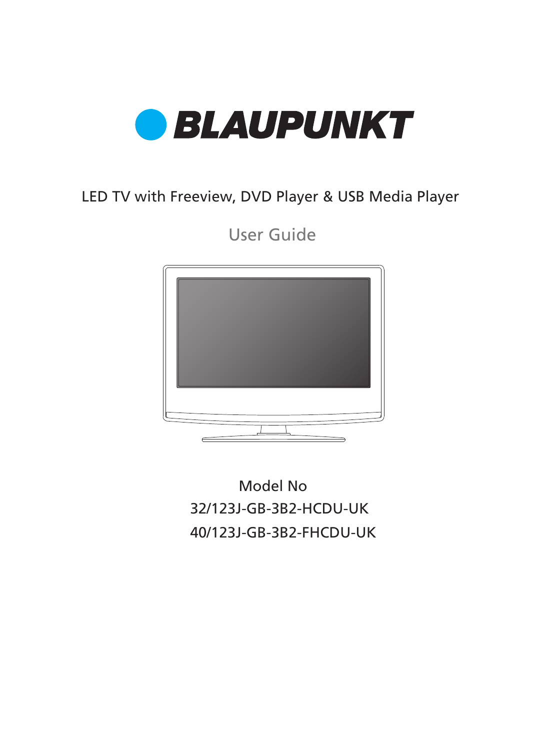

## LED TV with Freeview, DVD Player & USB Media Player

User Guide



32/123J-GB-3B2-HCDU-UK 40/123J-GB-3B2-FHCDU-UK Model No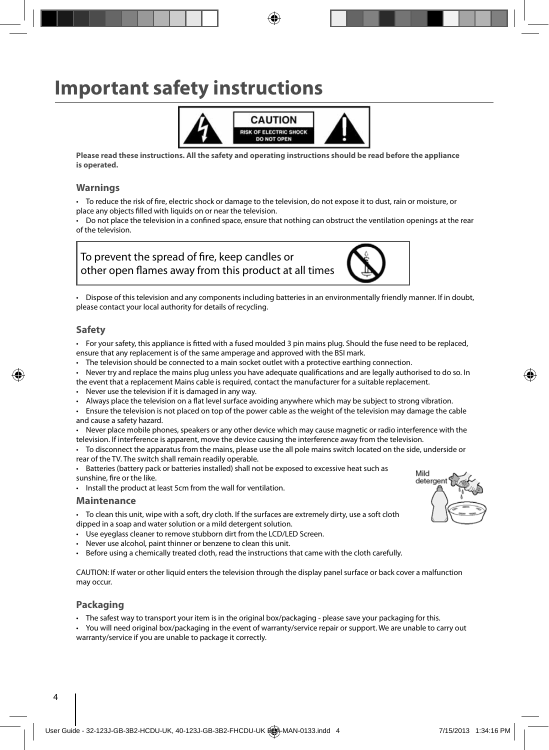# **Important safety instructions**



**Please read these instructions. All the safety and operating instructions should be read before the appliance is operated.**

#### **Warnings**

To reduce the risk of fire, electric shock or damage to the television, do not expose it to dust, rain or moisture, or place any objects filled with liquids on or near the television.

Do not place the television in a confined space, ensure that nothing can obstruct the ventilation openings at the rear of the television.





• Dispose of this television and any components including batteries in an environmentally friendly manner. If in doubt, please contact your local authority for details of recycling.

#### **Safety**

• For your safety, this appliance is fitted with a fused moulded 3 pin mains plug. Should the fuse need to be replaced, ensure that any replacement is of the same amperage and approved with the BSI mark.

- The television should be connected to a main socket outlet with a protective earthing connection.
- Never try and replace the mains plug unless you have adequate qualifications and are legally authorised to do so. In the event that a replacement Mains cable is required, contact the manufacturer for a suitable replacement.
- Never use the television if it is damaged in any way.

Always place the television on a flat level surface avoiding anywhere which may be subject to strong vibration.

• Ensure the television is not placed on top of the power cable as the weight of the television may damage the cable and cause a safety hazard.

• Never place mobile phones, speakers or any other device which may cause magnetic or radio interference with the television. If interference is apparent, move the device causing the interference away from the television.

• To disconnect the apparatus from the mains, please use the all pole mains switch located on the side, underside or rear of the TV. The switch shall remain readily operable.

• Batteries (battery pack or batteries installed) shall not be exposed to excessive heat such as sunshine, fire or the like.

• Install the product at least 5cm from the wall for ventilation.

#### **Maintenance**

• To clean this unit, wipe with a soft, dry cloth. If the surfaces are extremely dirty, use a soft cloth dipped in a soap and water solution or a mild detergent solution.

- Use eyeglass cleaner to remove stubborn dirt from the LCD/LED Screen.
- Never use alcohol, paint thinner or benzene to clean this unit.
- Before using a chemically treated cloth, read the instructions that came with the cloth carefully.

CAUTION: If water or other liquid enters the television through the display panel surface or back cover a malfunction may occur.

#### **Packaging**

• The safest way to transport your item is in the original box/packaging - please save your packaging for this.

• You will need original box/packaging in the event of warranty/service repair or support. We are unable to carry out warranty/service if you are unable to package it correctly.

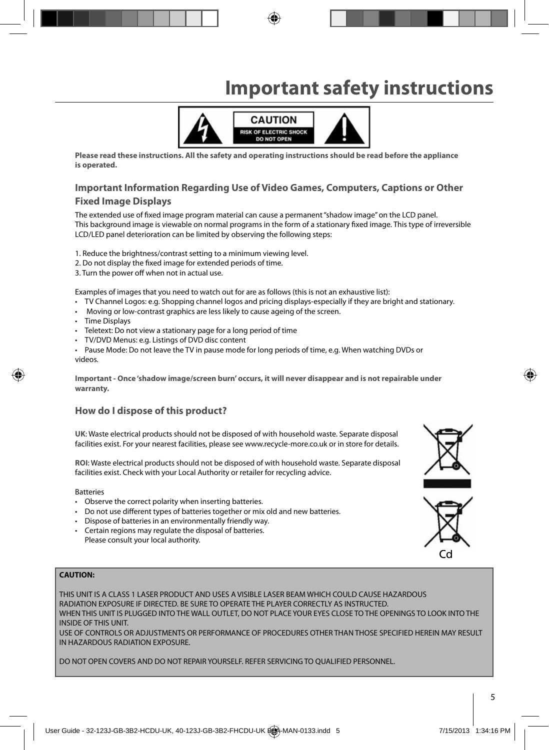# **Important safety instructions**



**Please read these instructions. All the safety and operating instructions should be read before the appliance is operated.**

# **Important Information Regarding Use of Video Games, Computers, Captions or Other**

#### **Fixed Image Displays**

The extended use of fixed image program material can cause a permanent "shadow image" on the LCD panel. This background image is viewable on normal programs in the form of a stationary fixed image. This type of irreversible LCD/LED panel deterioration can be limited by observing the following steps:

1. Reduce the brightness/contrast setting to a minimum viewing level.

- 2. Do not display the fixed image for extended periods of time.
- 3. Turn the power off when not in actual use.

Examples of images that you need to watch out for are as follows (this is not an exhaustive list):

- TV Channel Logos: e.g. Shopping channel logos and pricing displays-especially if they are bright and stationary.
- Moving or low-contrast graphics are less likely to cause ageing of the screen.
- Time Displays
- Teletext: Do not view a stationary page for a long period of time
- TV/DVD Menus: e.g. Listings of DVD disc content
- Pause Mode: Do not leave the TV in pause mode for long periods of time, e.g. When watching DVDs or videos.

**Important - Once 'shadow image/screen burn' occurs, it will never disappear and is not repairable under warranty.**

#### **How do I dispose of this product?**

**UK**: Waste electrical products should not be disposed of with household waste. Separate disposal facilities exist. For your nearest facilities, please see www.recycle-more.co.uk or in store for details.

**ROI**: Waste electrical products should not be disposed of with household waste. Separate disposal facilities exist. Check with your Local Authority or retailer for recycling advice.

Batteries

- Observe the correct polarity when inserting batteries.
- Do not use different types of batteries together or mix old and new batteries.
- Dispose of batteries in an environmentally friendly way.
- Certain regions may regulate the disposal of batteries. Please consult your local authority.

#### **CAUTION:**

THIS UNIT IS A CLASS 1 LASER PRODUCT AND USES A VISIBLE LASER BEAM WHICH COULD CAUSE HAZARDOUS RADIATION EXPOSURE IF DIRECTED. BE SURE TO OPERATE THE PLAYER CORRECTLY AS INSTRUCTED. WHEN THIS UNIT IS PLUGGED INTO THE WALL OUTLET, DO NOT PLACE YOUR EYES CLOSE TO THE OPENINGS TO LOOK INTO THE INSIDE OF THIS UNIT.

USE OF CONTROLS OR ADJUSTMENTS OR PERFORMANCE OF PROCEDURES OTHER THAN THOSE SPECIFIED HEREIN MAY RESULT IN HAZARDOUS RADIATION EXPOSURE.

DO NOT OPEN COVERS AND DO NOT REPAIR YOURSELF. REFER SERVICING TO QUALIFIED PERSONNEL.



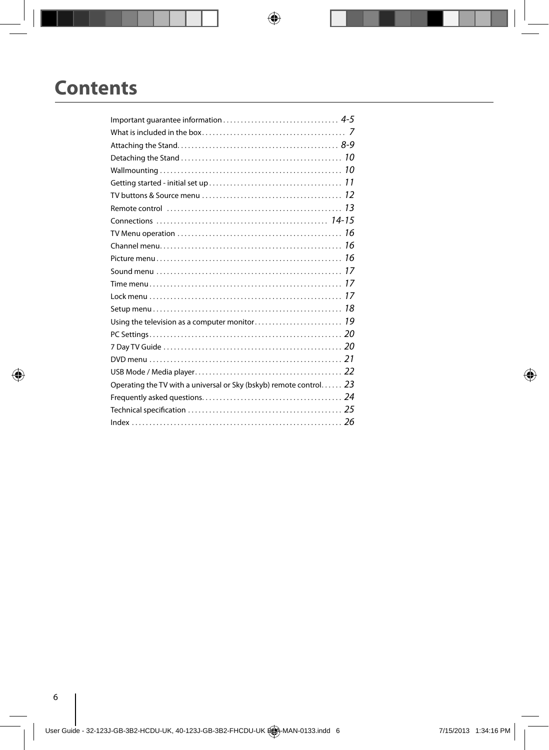# **Contents**

| TV buttons & Source menu $\ldots, \ldots, \ldots, \ldots, \ldots, \ldots, \ldots, \ldots, 12$                    |  |
|------------------------------------------------------------------------------------------------------------------|--|
|                                                                                                                  |  |
|                                                                                                                  |  |
|                                                                                                                  |  |
|                                                                                                                  |  |
|                                                                                                                  |  |
|                                                                                                                  |  |
|                                                                                                                  |  |
|                                                                                                                  |  |
|                                                                                                                  |  |
|                                                                                                                  |  |
|                                                                                                                  |  |
|                                                                                                                  |  |
|                                                                                                                  |  |
|                                                                                                                  |  |
| Operating the TV with a universal or Sky (bskyb) remote control 23                                               |  |
|                                                                                                                  |  |
| Technical specification $\ldots \ldots \ldots \ldots \ldots \ldots \ldots \ldots \ldots \ldots \ldots \ldots 25$ |  |
|                                                                                                                  |  |

 $\overline{\phantom{a}}$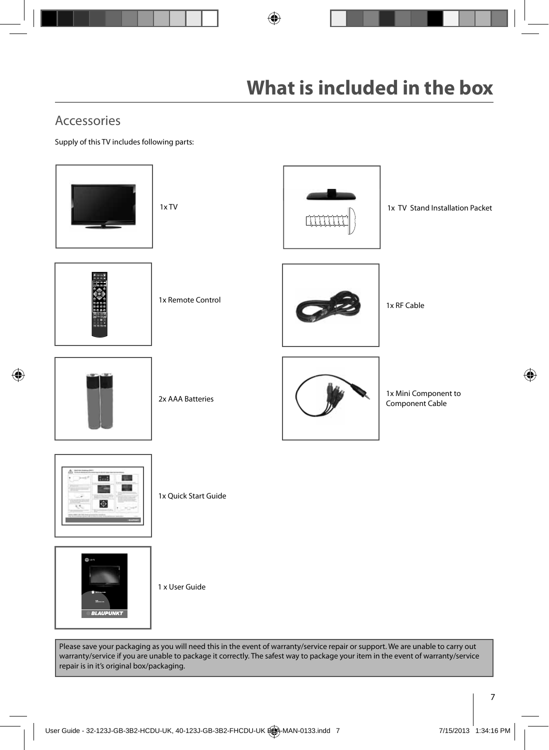## Accessories

Supply of this TV includes following parts:



Please save your packaging as you will need this in the event of warranty/service repair or support. We are unable to carry out warranty/service if you are unable to package it correctly. The safest way to package your item in the event of warranty/service repair is in it's original box/packaging.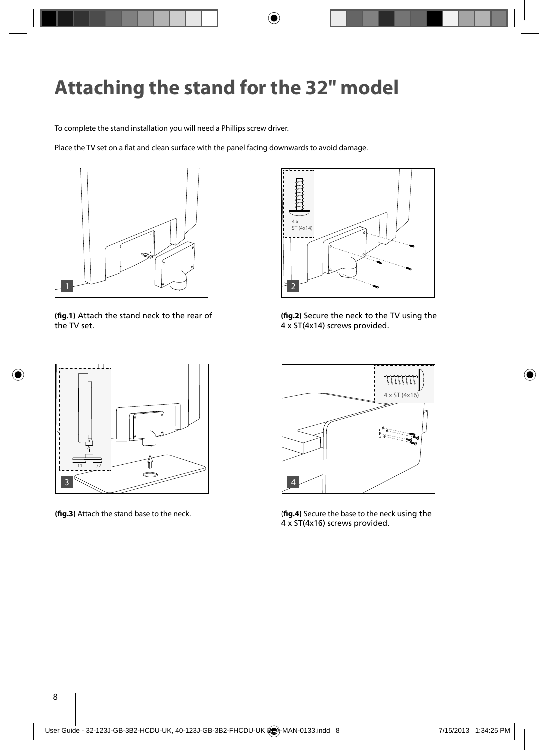To complete the stand installation you will need a Phillips screw driver.

Place the TV set on a flat and clean surface with the panel facing downwards to avoid damage.



**(fig.1)** Attach the stand neck to the rear of the TV set.



(fig.2) Secure the neck to the TV using the 4 x ST(4x14) screws provided.





**(fig.3)** Attach the stand base to the neck. (**fig.4**) Secure the base to the neck using the 4 x ST(4x16) screws provided.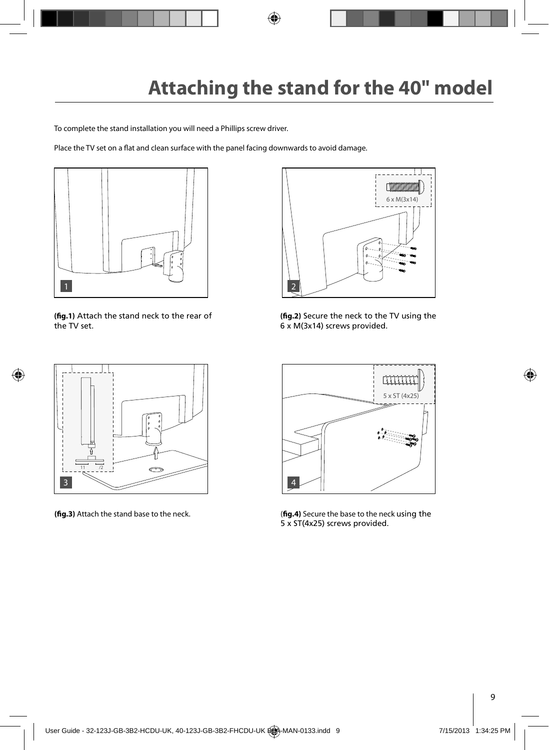To complete the stand installation you will need a Phillips screw driver.

Place the TV set on a flat and clean surface with the panel facing downwards to avoid damage.



**(fig.1)** Attach the stand neck to the rear of the TV set.



(fig.2) Secure the neck to the TV using the 6 x M(3x14) screws provided.





(fig.3) Attach the stand base to the neck. (**fig.4**) Secure the base to the neck using the 5 x ST(4x25) screws provided.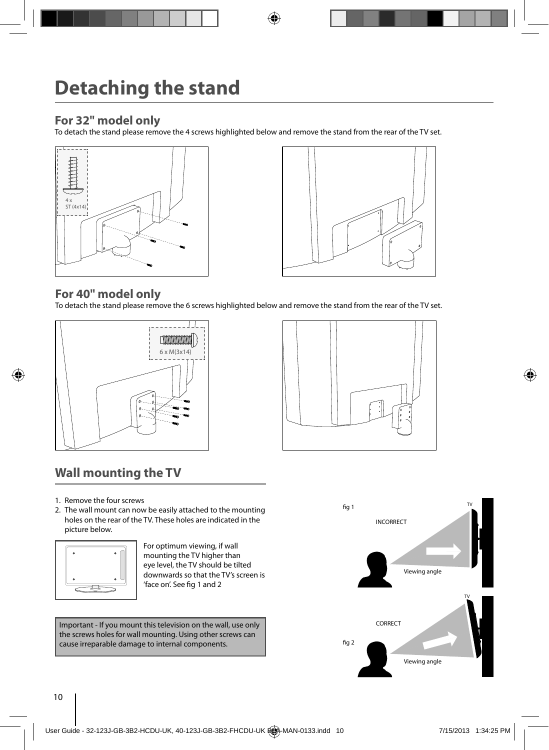### **For 32" model only**

To detach the stand please remove the 4 screws highlighted below and remove the stand from the rear of the TV set.





#### **For 40" model only**

To detach the stand please remove the 6 screws highlighted below and remove the stand from the rear of the TV set.





## **Wall mounting the TV**

- 1. Remove the four screws
- 2. The wall mount can now be easily attached to the mounting holes on the rear of the TV. These holes are indicated in the picture below.



For optimum viewing, if wall mounting the TV higher than eye level, the TV should be tilted downwards so that the TV's screen is 'face on'. See fig 1 and 2

Important - If you mount this television on the wall, use only the screws holes for wall mounting. Using other screws can cause irreparable damage to internal components.

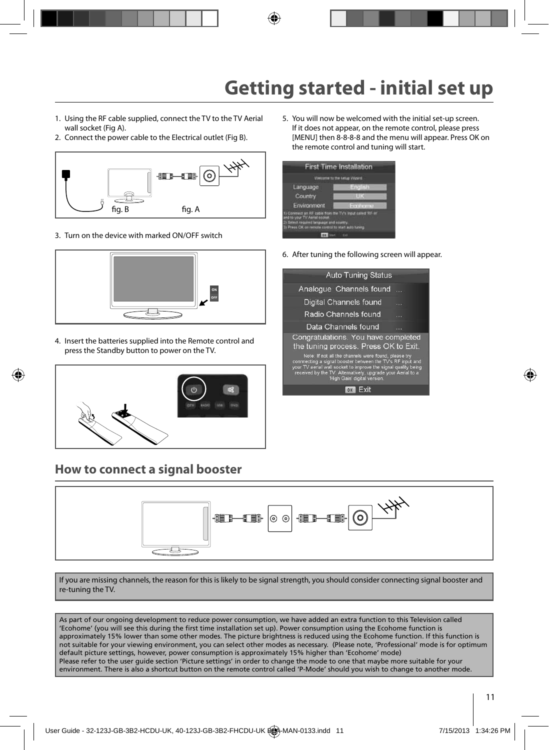# **Getting started - initial set up**

- 1. Using the RF cable supplied, connect the TV to the TV Aerial wall socket (Fig A).
- 2. Connect the power cable to the Electrical outlet (Fig B).



3. Turn on the device with marked ON/OFF switch



4. Insert the batteries supplied into the Remote control and press the Standby button to power on the TV.



### **How to connect a signal booster**

5. You will now be welcomed with the initial set-up screen. If it does not appear, on the remote control, please press [MENU] then 8-8-8-8 and the menu will appear. Press OK on the remote control and tuning will start.



6. After tuning the following screen will appear.

| <b>Auto Tuning Status</b>                                                                                                                                                                                                                                                           |  |
|-------------------------------------------------------------------------------------------------------------------------------------------------------------------------------------------------------------------------------------------------------------------------------------|--|
| Analogue Channels found                                                                                                                                                                                                                                                             |  |
| Digital Channels found                                                                                                                                                                                                                                                              |  |
| Radio Channels found                                                                                                                                                                                                                                                                |  |
| Data Channels found                                                                                                                                                                                                                                                                 |  |
| Congratulations. You have completed<br>the tuning process. Press OK to Exit.                                                                                                                                                                                                        |  |
| Note: If not all the channels were found, please try<br>connnecting a signal booster between the TV's RF input and<br>your TV aerial wall socket to improve the signal quality being<br>received by the TV. Alternatively, upgrade your Aerial to a<br>'High Gain' digital version. |  |
| OK                                                                                                                                                                                                                                                                                  |  |
|                                                                                                                                                                                                                                                                                     |  |



If you are missing channels, the reason for this is likely to be signal strength, you should consider connecting signal booster and re-tuning the TV.

As part of our ongoing development to reduce power consumption, we have added an extra function to this Television called 'Ecohome' (you will see this during the first time installation set up). Power consumption using the Ecohome function is approximately 15% lower than some other modes. The picture brightness is reduced using the Ecohome function. If this function is not suitable for your viewing environment, you can select other modes as necessary. (Please note, 'Professional' mode is for optimum default picture settings, however, power consumption is approximately 15% higher than 'Ecohome' mode) Please refer to the user guide section 'Picture settings' in order to change the mode to one that maybe more suitable for your environment. There is also a shortcut button on the remote control called 'P-Mode' should you wish to change to another mode.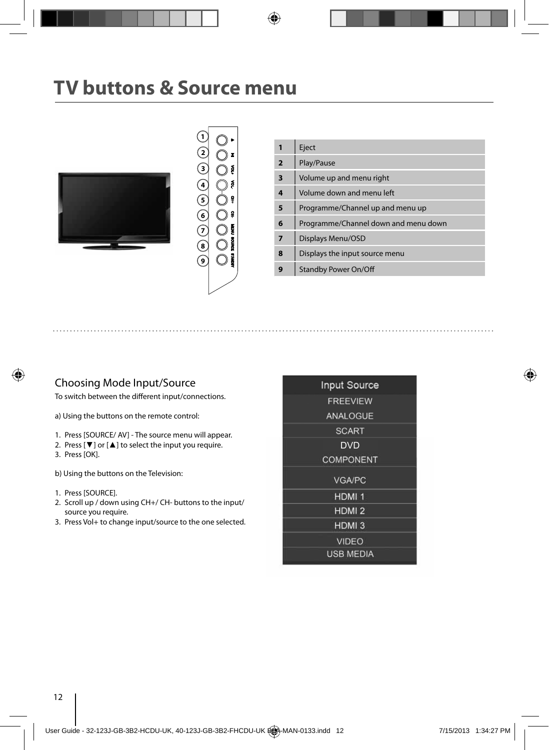# **TV buttons & Source menu**





| 1              | Eject                                |
|----------------|--------------------------------------|
| $\overline{2}$ | Play/Pause                           |
| 3              | Volume up and menu right             |
| 4              | Volume down and menu left            |
| 5              | Programme/Channel up and menu up     |
| 6              | Programme/Channel down and menu down |
| 7              | Displays Menu/OSD                    |
| 8              | Displays the input source menu       |
|                | <b>Standby Power On/Off</b>          |

#### Choosing Mode Input/Source

To switch between the different input/connections.

a) Using the buttons on the remote control:

- 1. Press [SOURCE/ AV] The source menu will appear.
- 2. Press [▼] or [▲] to select the input you require.
- 3. Press [OK].

b) Using the buttons on the Television:

- 1. Press [SOURCE].
- 2. Scroll up / down using CH+/ CH- buttons to the input/ source you require.
- 3. Press Vol+ to change input/source to the one selected.

| <b>Input Source</b> |
|---------------------|
| <b>FREEVIEW</b>     |
| <b>ANALOGUE</b>     |
| <b>SCART</b>        |
| <b>DVD</b>          |
| <b>COMPONENT</b>    |
| <b>VGA/PC</b>       |
| HDMI <sub>1</sub>   |
| HDMI <sub>2</sub>   |
| HDMI <sub>3</sub>   |
| <b>VIDEO</b>        |
| <b>USB MEDIA</b>    |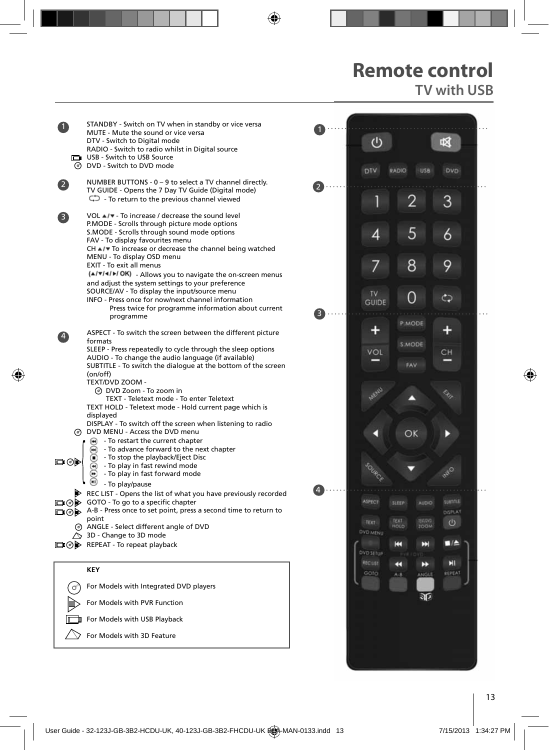## **Remote control TV with USB**

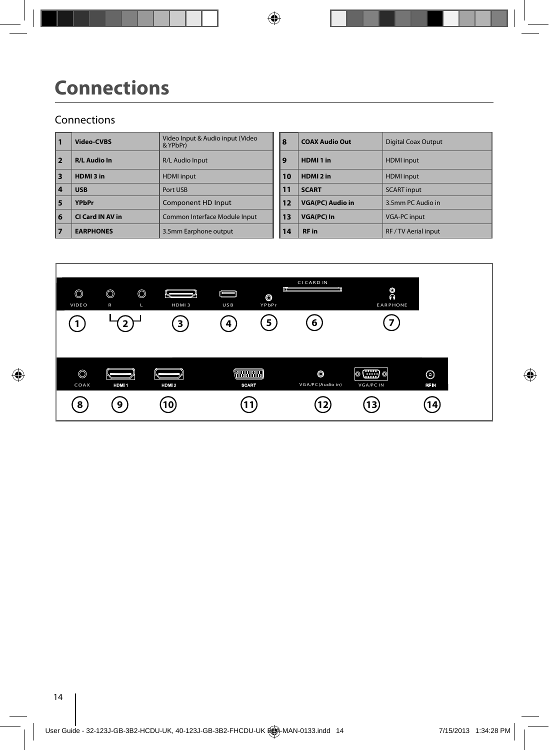# **Connections**

#### Connections

| 1  | Video-CVBS          | Video Input & Audio input (Video<br>& YPbPr) | 8  | <b>COAX Audio Out</b>   | <b>Digital Coax Outpu</b> |
|----|---------------------|----------------------------------------------|----|-------------------------|---------------------------|
| 2  | <b>R/L Audio In</b> | R/L Audio Input                              | 9  | HDMI <sub>1</sub> in    | <b>HDMI</b> input         |
| 3  | HDMI3 in            | <b>HDMI</b> input                            | 10 | HDMI <sub>2</sub> in    | <b>HDMI</b> input         |
| 14 | <b>USB</b>          | Port USB                                     | 11 | <b>SCART</b>            | <b>SCART</b> input        |
| 15 | <b>YPbPr</b>        | <b>Component HD Input</b>                    | 12 | <b>VGA(PC) Audio in</b> | 3.5mm PC Audio in         |
| 6  | CI Card IN AV in    | Common Interface Module Input                | 13 | VGA(PC) In              | <b>VGA-PC input</b>       |
| 17 | <b>EARPHONES</b>    | 3.5mm Earphone output                        | 14 | <b>RF</b> in            | RF / TV Aerial input      |

| Video Input & Audio input (Video<br>& YPbPr) | 8  | <b>COAX Audio Out</b>   | <b>Digital Coax Output</b> |
|----------------------------------------------|----|-------------------------|----------------------------|
| R/L Audio Input                              | 9  | HDMI <sub>1</sub> in    | <b>HDMI</b> input          |
| <b>HDMI</b> input                            | 10 | HDMI <sub>2</sub> in    | <b>HDMI</b> input          |
| Port USB                                     | 11 | <b>SCART</b>            | <b>SCART</b> input         |
| Component HD Input                           | 12 | <b>VGA(PC) Audio in</b> | 3.5mm PC Audio in          |
| Common Interface Module Input                | 13 | VGA(PC) In              | <b>VGA-PC input</b>        |
| 3.5mm Earphone output                        | 14 | <b>RF</b> in            | RF / TV Aerial input       |

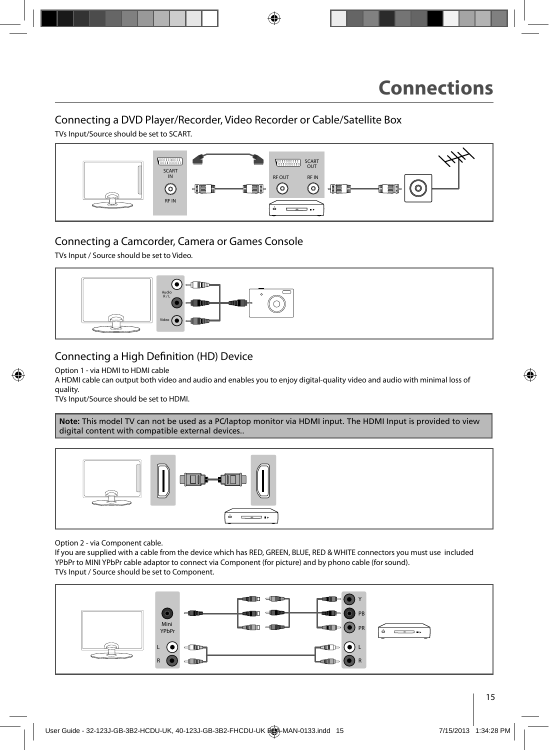## Connecting a DVD Player/Recorder, Video Recorder or Cable/Satellite Box

TVs Input/Source should be set to SCART.



#### Connecting a Camcorder, Camera or Games Console

TVs Input / Source should be set to Video.



#### Connecting a High Definition (HD) Device

Option 1 - via HDMI to HDMI cable

A HDMI cable can output both video and audio and enables you to enjoy digital-quality video and audio with minimal loss of quality.

TVs Input/Source should be set to HDMI.

**Note:** This model TV can not be used as a PC/laptop monitor via HDMI input. The HDMI Input is provided to view digital content with compatible external devices..



Option 2 - via Component cable.

If you are supplied with a cable from the device which has RED, GREEN, BLUE, RED & WHITE connectors you must use included YPbPr to MINI YPbPr cable adaptor to connect via Component (for picture) and by phono cable (for sound). TVs Input / Source should be set to Component.

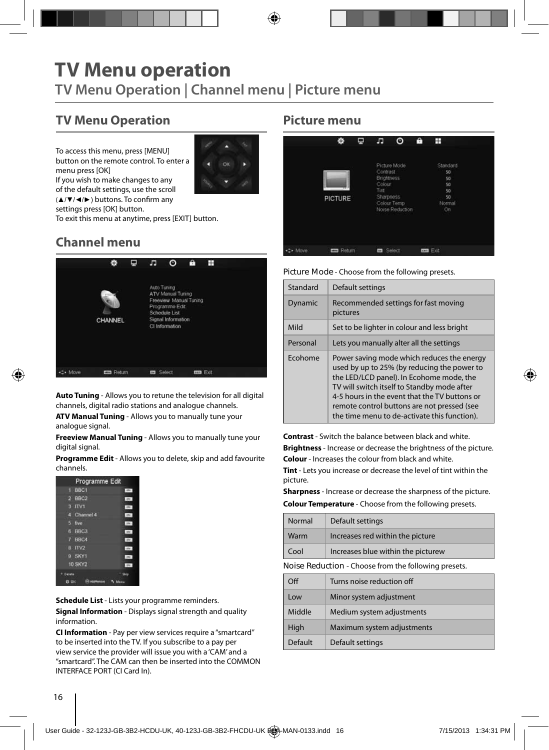## **TV Menu operation TV Menu Operation | Channel menu | Picture menu**

## **TV Menu Operation**

To access this menu, press [MENU] button on the remote control. To enter a menu press [OK]



If you wish to make changes to any of the default settings, use the scroll  $(A/\nabla/4)$  buttons. To confirm any

settings press [OK] button.

To exit this menu at anytime, press [EXIT] button.

## **Channel menu**



**Auto Tuning** - Allows you to retune the television for all digital channels, digital radio stations and analogue channels.

**ATV Manual Tuning** - Allows you to manually tune your analogue signal.

**Freeview Manual Tuning** - Allows you to manually tune your digital signal.

**Programme Edit** - Allows you to delete, skip and add favourite channels.

| and.<br>. Dfw-<br>$T^*$ |
|-------------------------|
|                         |
|                         |
|                         |
| 479                     |
| 384                     |
| 199                     |
| $-104$                  |
| m                       |
| m                       |
| <b>Dist</b>             |
| Skin                    |
|                         |

**Schedule List** - Lists your programme reminders. **Signal Information** - Displays signal strength and quality information.

**CI Information** - Pay per view services require a "smartcard" to be inserted into the TV. If you subscribe to a pay per view service the provider will issue you with a 'CAM' and a "smartcard". The CAM can then be inserted into the COMMON INTERFACE PORT (CI Card In).

#### **Picture menu**

|         | 盎                | Φ | л                                                                   | $\circ$                                        | ê | Ŧ                                                      |  |
|---------|------------------|---|---------------------------------------------------------------------|------------------------------------------------|---|--------------------------------------------------------|--|
|         | <b>PICTURE</b>   |   | Contrast<br><b>Brightness</b><br>Colour<br>Tint<br><b>Sharpness</b> | Picture Mode<br>Colour Temp<br>Noise Reduction |   | Standard<br>50<br>50<br>50<br>50<br>50<br>Normal<br>Ön |  |
| ._ Move | <b>EE</b> Return |   | <b>Ez</b> Select                                                    |                                                |   | ton Ext                                                |  |

**Picture Mode** - Choose from the following presets.

| Standard | Default settings                                                                                                                                                                                                                                                                                                                     |
|----------|--------------------------------------------------------------------------------------------------------------------------------------------------------------------------------------------------------------------------------------------------------------------------------------------------------------------------------------|
| Dynamic  | Recommended settings for fast moving<br>pictures                                                                                                                                                                                                                                                                                     |
| Mild     | Set to be lighter in colour and less bright                                                                                                                                                                                                                                                                                          |
| Personal | Lets you manually alter all the settings                                                                                                                                                                                                                                                                                             |
| Ecohome  | Power saving mode which reduces the energy<br>used by up to 25% (by reducing the power to<br>the LED/LCD panel). In Ecohome mode, the<br>TV will switch itself to Standby mode after<br>4-5 hours in the event that the TV buttons or<br>remote control buttons are not pressed (see<br>the time menu to de-activate this function). |

**Contrast** - Switch the balance between black and white. **Brightness** - Increase or decrease the brightness of the picture. **Colour** - Increases the colour from black and white.

**Tint** - Lets you increase or decrease the level of tint within the picture.

**Sharpness** - Increase or decrease the sharpness of the picture.

**Colour Temperature** - Choose from the following presets.

| Normal                                               | Default settings                   |  |  |  |
|------------------------------------------------------|------------------------------------|--|--|--|
| Warm                                                 | Increases red within the picture   |  |  |  |
| Cool                                                 | Increases blue within the picturew |  |  |  |
| Noise Reduction - Choose from the following presets. |                                    |  |  |  |
| $\cap$ ff                                            | Turns noise reduction off          |  |  |  |

| Ωff     | Turns noise reduction off  |
|---------|----------------------------|
| Low     | Minor system adjustment    |
| Middle  | Medium system adjustments  |
| High    | Maximum system adjustments |
| Default | Default settings           |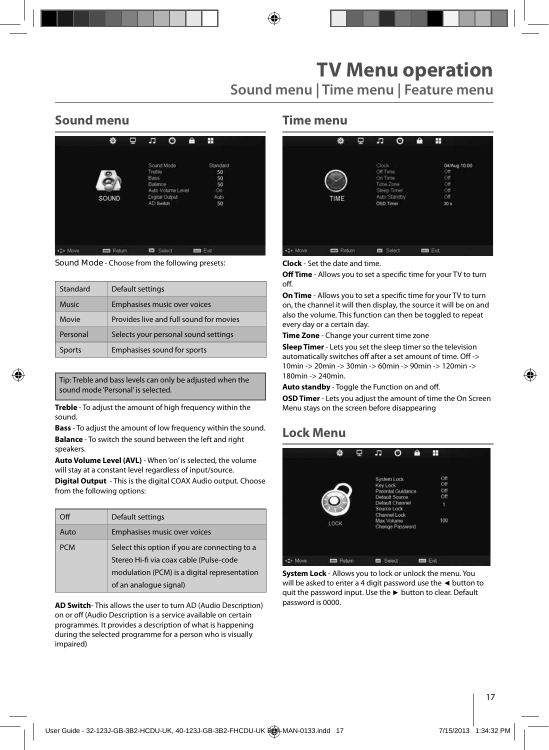## **Sound menu**

|         | 蓉                 | Φ | F                                             | O                                                 | A | H                                              |  |
|---------|-------------------|---|-----------------------------------------------|---------------------------------------------------|---|------------------------------------------------|--|
|         | SOUND             |   | Treble<br><b>Bass</b><br>Balance<br>AD Switch | Sound Mode<br>Auto Volume Level<br>Digital Output |   | Standard<br>50<br>50<br>50<br>On<br>Auto<br>50 |  |
| C+ Move | <b>EDS</b> Return |   | Or.                                           | Select                                            |   | <b>ma</b> Exit                                 |  |

**Sound Mode** - Choose from the following presets:

| Standard      | Default settings                        |
|---------------|-----------------------------------------|
| <b>Music</b>  | Emphasises music over voices            |
| Movie         | Provides live and full sound for movies |
| Personal      | Selects your personal sound settings    |
| <b>Sports</b> | Emphasises sound for sports             |

Tip: Treble and bass levels can only be adjusted when the sound mode 'Personal' is selected.

**Treble** - To adjust the amount of high frequency within the sound.

**Bass** - To adjust the amount of low frequency within the sound. **Balance** - To switch the sound between the left and right speakers.

**Auto Volume Level (AVL)** - When 'on' is selected, the volume will stay at a constant level regardless of input/source.

**Digital Output** - This is the digital COAX Audio output. Choose from the following options:

| Off        | Default settings                                                                                                                                                   |
|------------|--------------------------------------------------------------------------------------------------------------------------------------------------------------------|
| Auto       | Emphasises music over voices                                                                                                                                       |
| <b>PCM</b> | Select this option if you are connecting to a<br>Stereo Hi-fi via coax cable (Pulse-code<br>modulation (PCM) is a digital representation<br>of an analogue signal) |

**AD Switch**- This allows the user to turn AD (Audio Description) on or off (Audio Description is a service available on certain programmes. It provides a description of what is happening during the selected programme for a person who is visually impaired)

#### **Time menu**

|          | 烧                | φ | л                                                      | ⊙                           | ê | H                                                       |  |
|----------|------------------|---|--------------------------------------------------------|-----------------------------|---|---------------------------------------------------------|--|
|          | TIME             |   | Clock<br>Off Time<br>On Time<br>Time Zone<br>OSD Timer | Sleep Timer<br>Auto Standby |   | 04/Aug 10:00<br>Off<br>Off<br>Off<br>Off<br>Off<br>30 s |  |
| +1+ Move | <b>Em</b> Return |   | <b>ED</b> Select                                       |                             |   | <b>Tool</b> Exit                                        |  |

**Clock** - Set the date and time.

**Off Time** - Allows you to set a specific time for your TV to turn  $\bigcap_{i=1}^n$ 

**On Time** - Allows you to set a specific time for your TV to turn on, the channel it will then display, the source it will be on and also the volume. This function can then be toggled to repeat every day or a certain day.

**Time Zone** - Change your current time zone

**Sleep Timer** - Lets you set the sleep timer so the television automatically switches off after a set amount of time. Off -> 10min -> 20min -> 30min -> 60min -> 90min -> 120min -> 180min -> 240min.

Auto standby - Toggle the Function on and off.

**OSD Timer** - Lets you adjust the amount of time the On Screen Menu stays on the screen before disappearing

## **Lock Menu**

|         | Ł.                | ₽ | л                | ∩                                                                                                                                            | A | H                                    |  |
|---------|-------------------|---|------------------|----------------------------------------------------------------------------------------------------------------------------------------------|---|--------------------------------------|--|
|         | LOCK              |   | Key Lock         | System Lock<br><b>Parental Guidance</b><br>Default Source<br>Default Channel<br>Source Lock<br>Channel Lock<br>Max Volume<br>Change Password |   | Off<br>Off<br>Off<br>Off<br>١<br>100 |  |
| =- Move | <b>EED</b> Roturn |   | <b>ED</b> Solect |                                                                                                                                              |   | mm Exit                              |  |

**System Lock** - Allows you to lock or unlock the menu. You will be asked to enter a 4 digit password use the **◄** button to quit the password input. Use the **►** button to clear. Default password is 0000.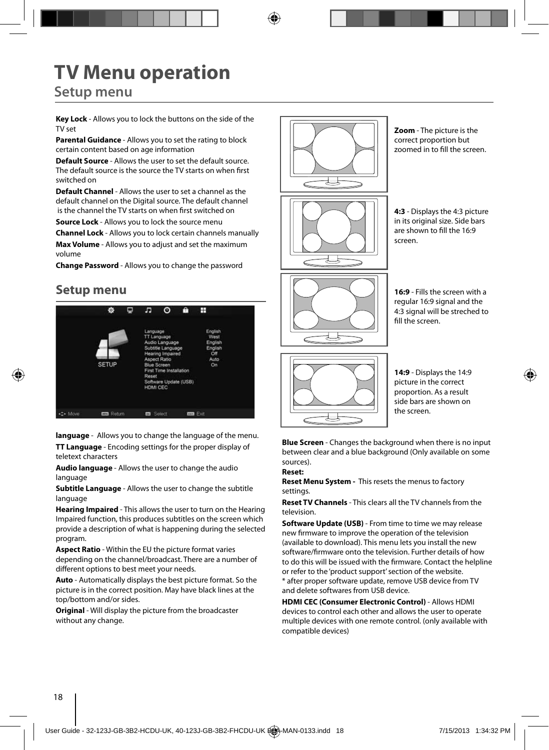# **TV Menu operation**

## **Setup menu**

**Key Lock** - Allows you to lock the buttons on the side of the TV set

**Parental Guidance** - Allows you to set the rating to block certain content based on age information

**Default Source** - Allows the user to set the default source. The default source is the source the TV starts on when first switched on

**Default Channel** - Allows the user to set a channel as the default channel on the Digital source. The default channel is the channel the TV starts on when first switched on

**Source Lock** - Allows you to lock the source menu

**Channel Lock** - Allows you to lock certain channels manually **Max Volume** - Allows you to adjust and set the maximum volume

**Change Password** - Allows you to change the password

## **Setup menu**



**language** - Allows you to change the language of the menu.

**TT Language** - Encoding settings for the proper display of teletext characters

**Audio language** - Allows the user to change the audio language

**Subtitle Language** - Allows the user to change the subtitle language

**Hearing Impaired** - This allows the user to turn on the Hearing Impaired function, this produces subtitles on the screen which provide a description of what is happening during the selected program.

**Aspect Ratio** - Within the EU the picture format varies depending on the channel/broadcast. There are a number of different options to best meet your needs.

**Auto** - Automatically displays the best picture format. So the picture is in the correct position. May have black lines at the top/bottom and/or sides.

**Original** - Will display the picture from the broadcaster without any change.



**Zoom** - The picture is the correct proportion but zoomed in to fill the screen.

**4:3** - Displays the 4:3 picture in its original size. Side bars are shown to fill the 16:9 screen.

**16:9** - Fills the screen with a regular 16:9 signal and the 4:3 signal will be streched to fill the screen.



**14:9** - Displays the 14:9 picture in the correct proportion. As a result side bars are shown on the screen.

**Blue Screen** - Changes the background when there is no input between clear and a blue background (Only available on some sources).

#### **Reset:**

**Reset Menu System -** This resets the menus to factory settings.

**Reset TV Channels** - This clears all the TV channels from the television.

**Software Update (USB)** - From time to time we may release new firmware to improve the operation of the television (available to download). This menu lets you install the new software/firmware onto the television. Further details of how to do this will be issued with the firmware. Contact the helpline or refer to the 'product support' section of the website. \* after proper software update, remove USB device from TV and delete softwares from USB device.

**HDMI CEC (Consumer Electronic Control)** - Allows HDMI devices to control each other and allows the user to operate multiple devices with one remote control. (only available with compatible devices)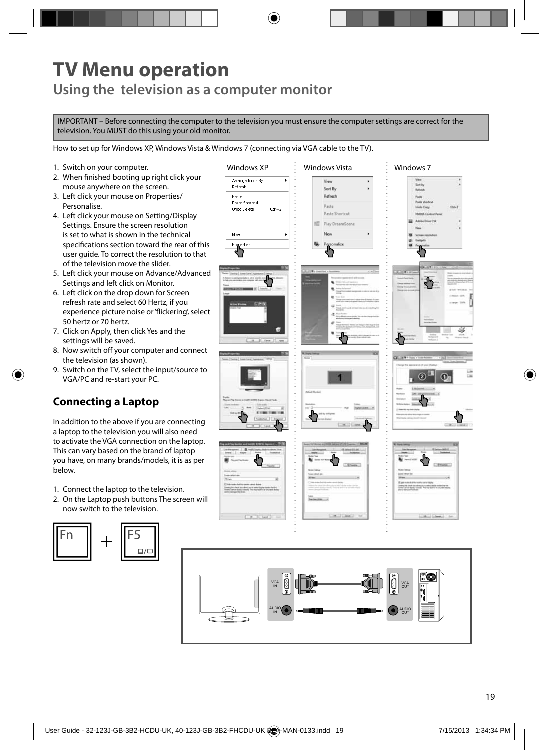# **TV Menu operation Using the television as a computer monitor**

IMPORTANT – Before connecting the computer to the television you must ensure the computer settings are correct for the television. You MUST do this using your old monitor.

How to set up for Windows XP, Windows Vista & Windows 7 (connecting via VGA cable to the TV).

- 1. Switch on your computer.
- 2. When finished booting up right click your mouse anywhere on the screen.
- 3. Left click your mouse on Properties/ Personalise.
- 4. Left click your mouse on Setting/Display Settings. Ensure the screen resolution is set to what is shown in the technical specifications section toward the rear of this user guide. To correct the resolution to that of the television move the slider.
- 5. Left click your mouse on Advance/Advanced Settings and left click on Monitor.
- 6. Left click on the drop down for Screen refresh rate and select 60 Hertz, if you experience picture noise or 'flickering', select 50 hertz or 70 hertz.
- 7. Click on Apply, then click Yes and the settings will be saved.
- 8. Now switch off your computer and connect the television (as shown).
- 9. Switch on the TV, select the input/source to VGA/PC and re-start your PC.

### **Connecting a Laptop**

In addition to the above if you are connecting a laptop to the television you will also need to activate the VGA connection on the laptop. This can vary based on the brand of laptop you have, on many brands/models, it is as per below.

- 1. Connect the laptop to the television.
- 2. On the Laptop push buttons The screen will now switch to the television.



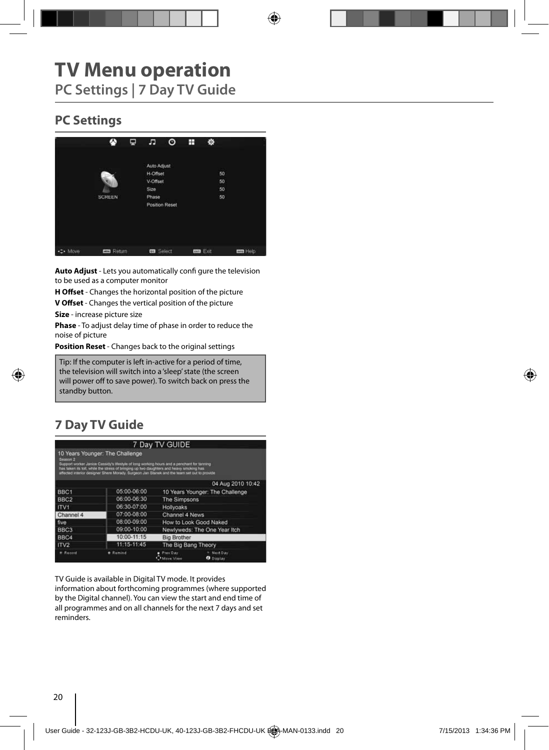# **TV Menu operation**

**PC Settings | 7 Day TV Guide** 

## **PC Settings**



**Auto Adjust** - Lets you automatically confi gure the television to be used as a computer monitor

**H Offset** - Changes the horizontal position of the picture

**V Offset** - Changes the vertical position of the picture

**Size** - increase picture size

**Phase** - To adjust delay time of phase in order to reduce the noise of picture

**Position Reset** - Changes back to the original settings

Tip: If the computer is left in-active for a period of time, the television will switch into a 'sleep' state (the screen will power off to save power). To switch back on press the **Postandby button. Position Resetting back to the original settings** 

## **7 Day TV Guide**

|                     |                                                                                                                                                                                                                                                                                                                          | 7 Day TV GUIDE        |                                 |  |
|---------------------|--------------------------------------------------------------------------------------------------------------------------------------------------------------------------------------------------------------------------------------------------------------------------------------------------------------------------|-----------------------|---------------------------------|--|
| Season <sub>2</sub> | 10 Years Younger: The Challenge<br>Support worker Janice Cassidy's lifestyle of long working hours and a pencharit for tanning<br>has taken its toll, while the stress of bringing up two daughters and heavy smoking has<br>affected interior designer Shere Morady. Surgeon Jan Stanek and the team set out to provide |                       |                                 |  |
|                     |                                                                                                                                                                                                                                                                                                                          |                       | 04 Aug 2010 10:42               |  |
| BBC <sub>1</sub>    | 05:00-06:00                                                                                                                                                                                                                                                                                                              |                       | 10 Years Younger: The Challenge |  |
| BBC <sub>2</sub>    | 06:00-06:30                                                                                                                                                                                                                                                                                                              | The Simpsons          |                                 |  |
| ITV1                | 06:30-07:00                                                                                                                                                                                                                                                                                                              | Hollyoaks             |                                 |  |
| Channel 4           | 07:00-08:00                                                                                                                                                                                                                                                                                                              | Channel 4 News        |                                 |  |
| five                | 08:00-09:00                                                                                                                                                                                                                                                                                                              |                       | How to Look Good Naked          |  |
| BBC <sub>3</sub>    | 09:00-10:00                                                                                                                                                                                                                                                                                                              |                       | Newlyweds: The One Year Itch    |  |
| BBC4                | 10:00-11:15                                                                                                                                                                                                                                                                                                              | <b>Big Brother</b>    |                                 |  |
| ITV2                | 11:15-11:45                                                                                                                                                                                                                                                                                                              | The Big Bang Theory   |                                 |  |
| Record              | Remind                                                                                                                                                                                                                                                                                                                   | Prev.Day<br>Maye View | Next Day<br><b>O</b> Display    |  |

TV Guide is available in Digital TV mode. It provides information about forthcoming programmes (where supported by the Digital channel). You can view the start and end time of all programmes and on all channels for the next 7 days and set reminders.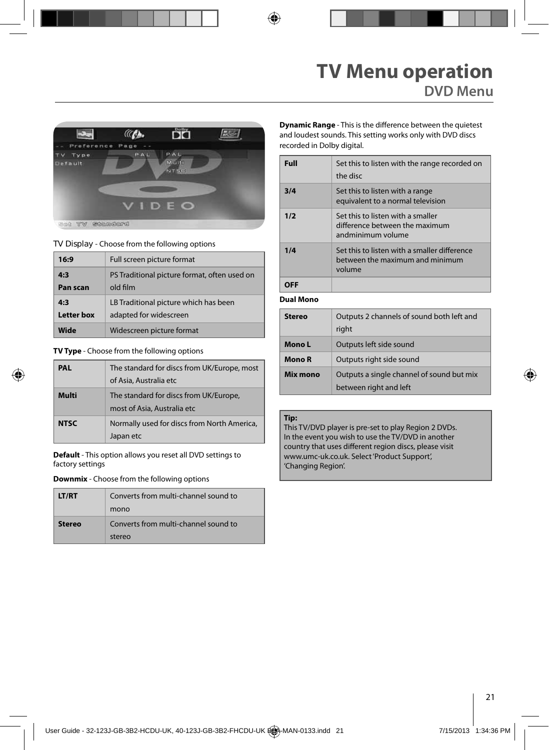

**TV Display** - Choose from the following options

| 16:9       | Full screen picture format                   |
|------------|----------------------------------------------|
| 4:3        | PS Traditional picture format, often used on |
| Pan scan   | old film                                     |
| 4:3        | LB Traditional picture which has been        |
| Letter box | adapted for widescreen                       |
| Wide       | Widescreen picture format                    |

**TV Type** - Choose from the following options

| PAL         | The standard for discs from UK/Europe, most<br>of Asia, Australia etc |
|-------------|-----------------------------------------------------------------------|
| Multi       | The standard for discs from UK/Europe,<br>most of Asia, Australia etc |
| <b>NTSC</b> | Normally used for discs from North America,<br>Japan etc              |

**Default** - This option allows you reset all DVD settings to factory settings

**Downmix** - Choose from the following options

| <b>LT/RT</b>  | Converts from multi-channel sound to<br>mono   |
|---------------|------------------------------------------------|
| <b>Stereo</b> | Converts from multi-channel sound to<br>stereo |

**Dynamic Range** - This is the difference between the quietest and loudest sounds. This setting works only with DVD discs recorded in Dolby digital.

| Full | Set this to listen with the range recorded on<br>the disc                                 |
|------|-------------------------------------------------------------------------------------------|
| 3/4  | Set this to listen with a range<br>equivalent to a normal television                      |
| 1/2  | Set this to listen with a smaller<br>difference between the maximum<br>andminimum volume  |
| 1/4  | Set this to listen with a smaller difference<br>between the maximum and minimum<br>volume |
|      |                                                                                           |

**Dual Mono**

| Stereo   | Outputs 2 channels of sound both left and<br>right                  |
|----------|---------------------------------------------------------------------|
| Mono L   | Outputs left side sound                                             |
| Mono R   | Outputs right side sound                                            |
| Mix mono | Outputs a single channel of sound but mix<br>between right and left |

#### **Tip:**

This TV/DVD player is pre-set to play Region 2 DVDs. In the event you wish to use the TV/DVD in another country that uses different region discs, please visit www.umc-uk.co.uk. Select 'Product Support', 'Changing Region'.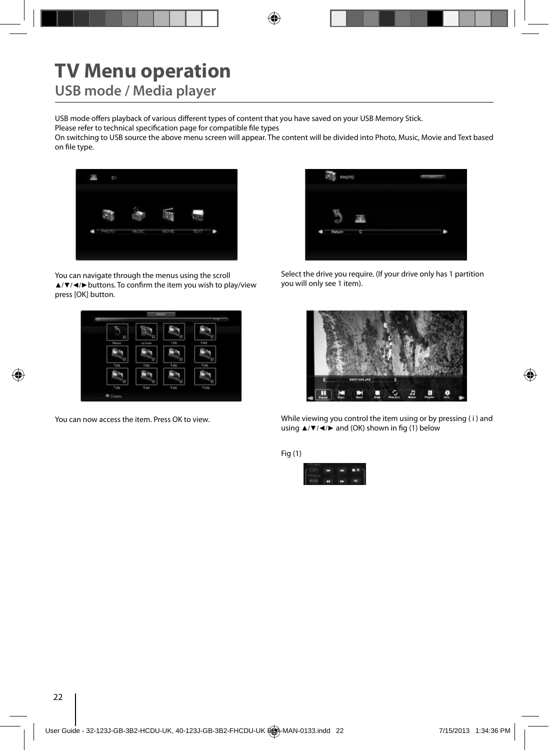# **TV Menu operation**

**USB mode / Media player**

USB mode offers playback of various different types of content that you have saved on your USB Memory Stick.

Please refer to technical specification page for compatible file types

On switching to USB source the above menu screen will appear. The content will be divided into Photo, Music, Movie and Text based on file type.



You can navigate through the menus using the scroll ▲/▼/◀/► buttons. To confirm the item you wish to play/view press [OK] button.



You can now access the item. Press OK to view.



Select the drive you require. (If your drive only has 1 partition you will only see 1 item).





Fig (1)

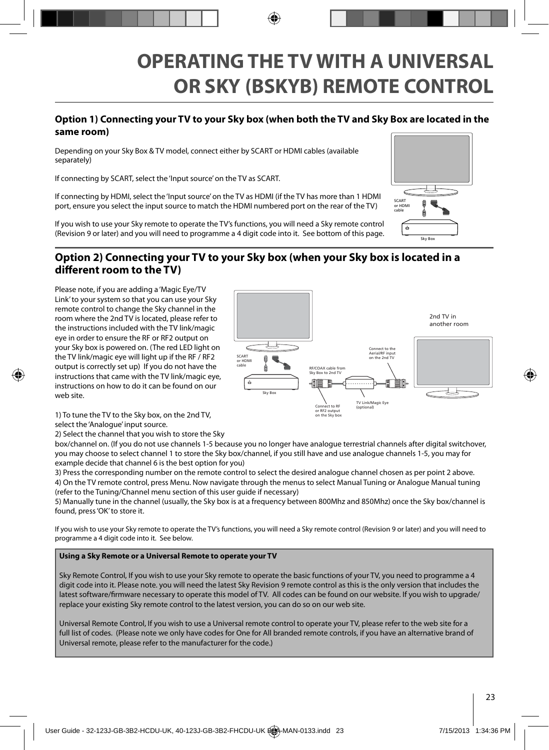# **OPERATING THE TV WITH A UNIVERSAL OR SKY (BSKYB) REMOTE CONTROL**

#### **Option 1) Connecting your TV to your Sky box (when both the TV and Sky Box are located in the same room)**

Depending on your Sky Box & TV model, connect either by SCART or HDMI cables (available separately)

If connecting by SCART, select the 'Input source' on the TV as SCART.

If connecting by HDMI, select the 'Input source' on the TV as HDMI (if the TV has more than 1 HDMI port, ensure you select the input source to match the HDMI numbered port on the rear of the TV)

If you wish to use your Sky remote to operate the TV's functions, you will need a Sky remote control (Revision 9 or later) and you will need to programme a 4 digit code into it. See bottom of this page.

#### **Option 2) Connecting your TV to your Sky box (when your Sky box is located in a diff erent room to the TV)**

Please note, if you are adding a 'Magic Eye/TV Link' to your system so that you can use your Sky remote control to change the Sky channel in the room where the 2nd TV is located, please refer to the instructions included with the TV link/magic eye in order to ensure the RF or RF2 output on your Sky box is powered on. (The red LED light on the TV link/magic eye will light up if the RF / RF2 output is correctly set up) If you do not have the instructions that came with the TV link/magic eye, instructions on how to do it can be found on our web site.



1) To tune the TV to the Sky box, on the 2nd TV, select the 'Analogue' input source.

2) Select the channel that you wish to store the Sky

box/channel on. (If you do not use channels 1-5 because you no longer have analogue terrestrial channels after digital switchover, you may choose to select channel 1 to store the Sky box/channel, if you still have and use analogue channels 1-5, you may for example decide that channel 6 is the best option for you)

3) Press the corresponding number on the remote control to select the desired analogue channel chosen as per point 2 above. 4) On the TV remote control, press Menu. Now navigate through the menus to select Manual Tuning or Analogue Manual tuning (refer to the Tuning/Channel menu section of this user guide if necessary)

5) Manually tune in the channel (usually, the Sky box is at a frequency between 800Mhz and 850Mhz) once the Sky box/channel is found, press 'OK' to store it.

If you wish to use your Sky remote to operate the TV's functions, you will need a Sky remote control (Revision 9 or later) and you will need to programme a 4 digit code into it. See below.

#### **Using a Sky Remote or a Universal Remote to operate your TV**

Sky Remote Control, If you wish to use your Sky remote to operate the basic functions of your TV, you need to programme a 4 digit code into it. Please note. you will need the latest Sky Revision 9 remote control as this is the only version that includes the latest software/firmware necessary to operate this model of TV. All codes can be found on our website. If you wish to upgrade/ replace your existing Sky remote control to the latest version, you can do so on our web site.

Universal Remote Control, If you wish to use a Universal remote control to operate your TV, please refer to the web site for a full list of codes. (Please note we only have codes for One for All branded remote controls, if you have an alternative brand of Universal remote, please refer to the manufacturer for the code.)

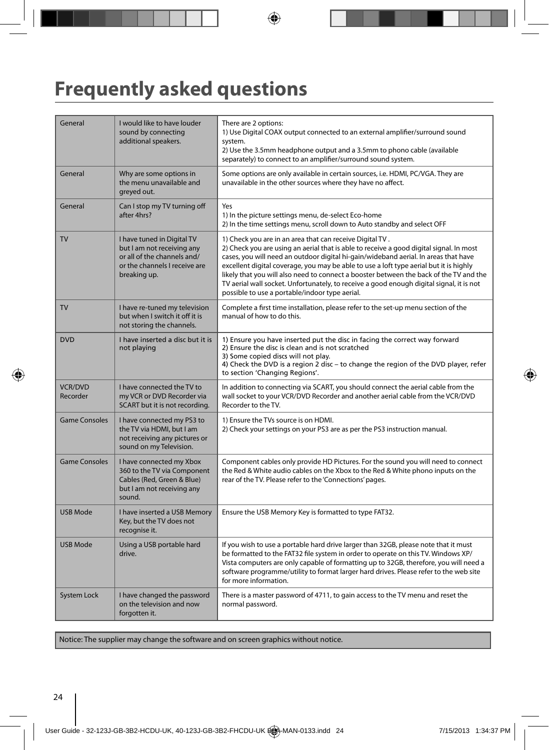# **Frequently asked questions**

| General                    | I would like to have louder<br>sound by connecting<br>additional speakers.                                                               | There are 2 options:<br>1) Use Digital COAX output connected to an external amplifier/surround sound<br>system.<br>2) Use the 3.5mm headphone output and a 3.5mm to phono cable (available<br>separately) to connect to an amplifier/surround sound system.                                                                                                                                                                                                                                                                                                                  |
|----------------------------|------------------------------------------------------------------------------------------------------------------------------------------|------------------------------------------------------------------------------------------------------------------------------------------------------------------------------------------------------------------------------------------------------------------------------------------------------------------------------------------------------------------------------------------------------------------------------------------------------------------------------------------------------------------------------------------------------------------------------|
| General                    | Why are some options in<br>the menu unavailable and<br>greyed out.                                                                       | Some options are only available in certain sources, i.e. HDMI, PC/VGA. They are<br>unavailable in the other sources where they have no affect.                                                                                                                                                                                                                                                                                                                                                                                                                               |
| General                    | Can I stop my TV turning off<br>after 4hrs?                                                                                              | Yes<br>1) In the picture settings menu, de-select Eco-home<br>2) In the time settings menu, scroll down to Auto standby and select OFF                                                                                                                                                                                                                                                                                                                                                                                                                                       |
| <b>TV</b>                  | I have tuned in Digital TV<br>but I am not receiving any<br>or all of the channels and/<br>or the channels I receive are<br>breaking up. | 1) Check you are in an area that can receive Digital TV.<br>2) Check you are using an aerial that is able to receive a good digital signal. In most<br>cases, you will need an outdoor digital hi-gain/wideband aerial. In areas that have<br>excellent digital coverage, you may be able to use a loft type aerial but it is highly<br>likely that you will also need to connect a booster between the back of the TV and the<br>TV aerial wall socket. Unfortunately, to receive a good enough digital signal, it is not<br>possible to use a portable/indoor type aerial. |
| TV                         | I have re-tuned my television<br>but when I switch it off it is<br>not storing the channels.                                             | Complete a first time installation, please refer to the set-up menu section of the<br>manual of how to do this.                                                                                                                                                                                                                                                                                                                                                                                                                                                              |
| <b>DVD</b>                 | I have inserted a disc but it is<br>not playing                                                                                          | 1) Ensure you have inserted put the disc in facing the correct way forward<br>2) Ensure the disc is clean and is not scratched<br>3) Some copied discs will not play.<br>4) Check the DVD is a region 2 disc - to change the region of the DVD player, refer<br>to section 'Changing Regions'.                                                                                                                                                                                                                                                                               |
| <b>VCR/DVD</b><br>Recorder | I have connected the TV to<br>my VCR or DVD Recorder via<br>SCART but it is not recording.                                               | In addition to connecting via SCART, you should connect the aerial cable from the<br>wall socket to your VCR/DVD Recorder and another aerial cable from the VCR/DVD<br>Recorder to the TV.                                                                                                                                                                                                                                                                                                                                                                                   |
| <b>Game Consoles</b>       | I have connected my PS3 to<br>the TV via HDMI, but I am<br>not receiving any pictures or<br>sound on my Television.                      | 1) Ensure the TVs source is on HDMI.<br>2) Check your settings on your PS3 are as per the PS3 instruction manual.                                                                                                                                                                                                                                                                                                                                                                                                                                                            |
| <b>Game Consoles</b>       | I have connected my Xbox<br>360 to the TV via Component<br>Cables (Red, Green & Blue)<br>but I am not receiving any<br>sound.            | Component cables only provide HD Pictures. For the sound you will need to connect<br>the Red & White audio cables on the Xbox to the Red & White phono inputs on the<br>rear of the TV. Please refer to the 'Connections' pages.                                                                                                                                                                                                                                                                                                                                             |
| <b>USB Mode</b>            | I have inserted a USB Memory<br>Key, but the TV does not<br>recognise it.                                                                | Ensure the USB Memory Key is formatted to type FAT32.                                                                                                                                                                                                                                                                                                                                                                                                                                                                                                                        |
| <b>USB Mode</b>            | Using a USB portable hard<br>drive.                                                                                                      | If you wish to use a portable hard drive larger than 32GB, please note that it must<br>be formatted to the FAT32 file system in order to operate on this TV. Windows XP/<br>Vista computers are only capable of formatting up to 32GB, therefore, you will need a<br>software programme/utility to format larger hard drives. Please refer to the web site<br>for more information.                                                                                                                                                                                          |
| <b>System Lock</b>         | I have changed the password<br>on the television and now<br>forgotten it.                                                                | There is a master password of 4711, to gain access to the TV menu and reset the<br>normal password.                                                                                                                                                                                                                                                                                                                                                                                                                                                                          |

Notice: The supplier may change the software and on screen graphics without notice.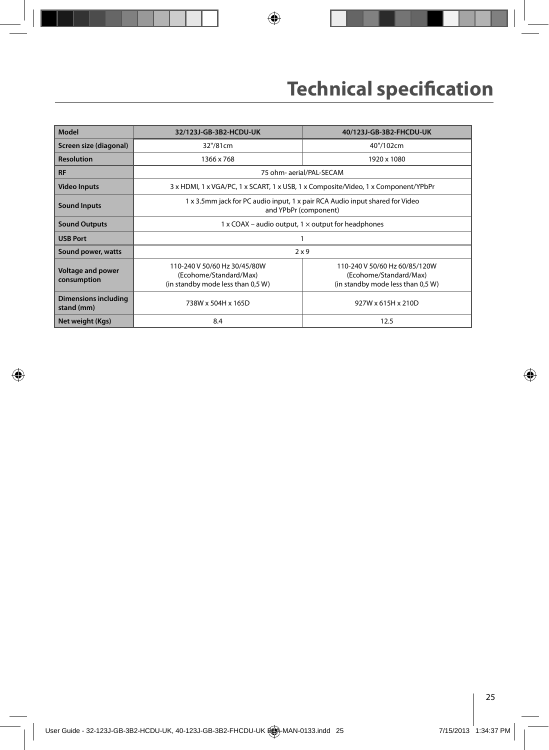| Model                                     | 32/123J-GB-3B2-HCDU-UK                                                                                | 40/123J-GB-3B2-FHCDU-UK                                                                      |  |  |  |  |
|-------------------------------------------|-------------------------------------------------------------------------------------------------------|----------------------------------------------------------------------------------------------|--|--|--|--|
| Screen size (diagonal)                    | 32"/81cm                                                                                              | 40"/102cm                                                                                    |  |  |  |  |
| <b>Resolution</b>                         | 1366 x 768                                                                                            | 1920 x 1080                                                                                  |  |  |  |  |
| <b>RF</b>                                 |                                                                                                       | 75 ohm- aerial/PAL-SECAM                                                                     |  |  |  |  |
| <b>Video Inputs</b>                       |                                                                                                       | 3 x HDMI, 1 x VGA/PC, 1 x SCART, 1 x USB, 1 x Composite/Video, 1 x Component/YPbPr           |  |  |  |  |
| <b>Sound Inputs</b>                       | 1 x 3.5mm jack for PC audio input, 1 x pair RCA Audio input shared for Video<br>and YPbPr (component) |                                                                                              |  |  |  |  |
| <b>Sound Outputs</b>                      | $1 \times$ COAX – audio output, $1 \times$ output for headphones                                      |                                                                                              |  |  |  |  |
| <b>USB Port</b>                           |                                                                                                       |                                                                                              |  |  |  |  |
| Sound power, watts                        |                                                                                                       | 2x9                                                                                          |  |  |  |  |
| Voltage and power<br>consumption          | 110-240 V 50/60 Hz 30/45/80W<br>(Ecohome/Standard/Max)<br>(in standby mode less than 0,5 W)           | 110-240 V 50/60 Hz 60/85/120W<br>(Ecohome/Standard/Max)<br>(in standby mode less than 0,5 W) |  |  |  |  |
| <b>Dimensions including</b><br>stand (mm) | 738W x 504H x 165D                                                                                    | 927W x 615H x 210D                                                                           |  |  |  |  |
| Net weight (Kgs)                          | 8.4                                                                                                   | 12.5                                                                                         |  |  |  |  |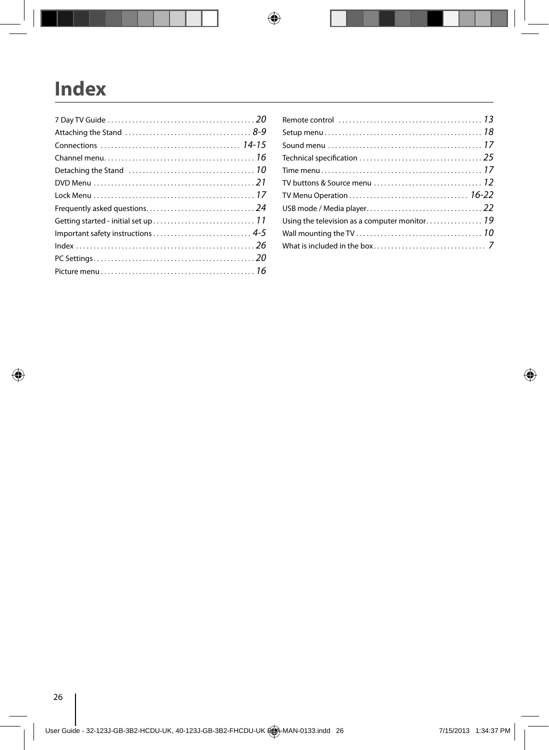# **Index**

 $\overline{\phantom{a}}$